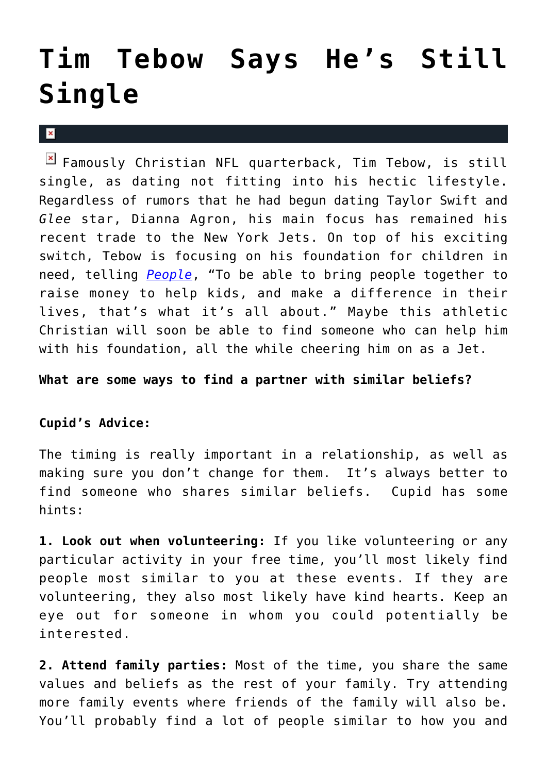## **[Tim Tebow Says He's Still](https://cupidspulse.com/30210/tim-tebow-still-single/) [Single](https://cupidspulse.com/30210/tim-tebow-still-single/)**

 $\mathbf{x}$ 

 $\boxed{\times}$  Famously Christian NFL quarterback, Tim Tebow, is still single, as dating not fitting into his hectic lifestyle. Regardless of rumors that he had begun dating Taylor Swift and *Glee* star, Dianna Agron, his main focus has remained his recent trade to the New York Jets. On top of his exciting switch, Tebow is focusing on his foundation for children in need, telling *[People](http://www.people.com/people/)*, "To be able to bring people together to raise money to help kids, and make a difference in their lives, that's what it's all about." Maybe this athletic Christian will soon be able to find someone who can help him with his foundation, all the while cheering him on as a Jet.

## **What are some ways to find a partner with similar beliefs?**

## **Cupid's Advice:**

The timing is really important in a relationship, as well as making sure you don't change for them. It's always better to find someone who shares similar beliefs. Cupid has some hints:

**1. Look out when volunteering:** If you like volunteering or any particular activity in your free time, you'll most likely find people most similar to you at these events. If they are volunteering, they also most likely have kind hearts. Keep an eye out for someone in whom you could potentially be interested.

**2. Attend family parties:** Most of the time, you share the same values and beliefs as the rest of your family. Try attending more family events where friends of the family will also be. You'll probably find a lot of people similar to how you and